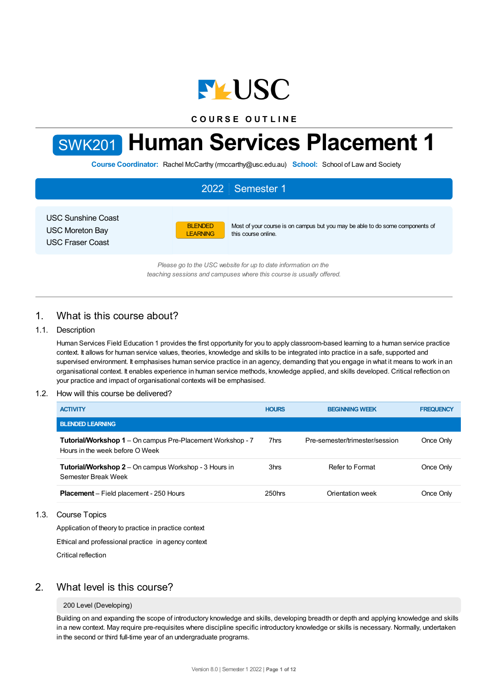

**C O U R S E O U T L I N E**



# SWK201 **Human Services Placement 1**

**Course Coordinator:** Rachel McCarthy (rmccarthy@usc.edu.au) **School:** School of Law and Society

|                                                                                | 2022   Semester 1                                                                                                                         |  |
|--------------------------------------------------------------------------------|-------------------------------------------------------------------------------------------------------------------------------------------|--|
| <b>USC Sunshine Coast</b><br><b>USC Moreton Bay</b><br><b>USC Fraser Coast</b> | <b>BLENDED</b><br>Most of your course is on campus but you may be able to do some components of<br>this course online.<br><b>LEARNING</b> |  |
|                                                                                | Please go to the USC website for up to date information on the<br>teaching sessions and campuses where this course is usually offered.    |  |

1. What is this course about?

## 1.1. Description

Human Services Field Education 1 provides the first opportunity for you to apply classroom-based learning to a human service practice context. It allows for human service values, theories, knowledge and skills to be integrated into practice in a safe, supported and supervised environment. It emphasises human service practice in an agency, demanding that you engage in what it means to work in an organisational context. It enables experience in human service methods, knowledge applied, and skills developed. Critical reflection on your practice and impact of organisational contexts will be emphasised.

## 1.2. How will this course be delivered?

| <b>ACTIVITY</b>                                                                                      | <b>HOURS</b> | <b>BEGINNING WEEK</b>          | <b>FREQUENCY</b> |
|------------------------------------------------------------------------------------------------------|--------------|--------------------------------|------------------|
| <b>BLENDED LEARNING</b>                                                                              |              |                                |                  |
| <b>Tutorial/Workshop 1</b> – On campus Pre-Placement Workshop - 7<br>Hours in the week before O Week | 7hrs         | Pre-semester/trimester/session | Once Only        |
| <b>Tutorial/Workshop 2</b> – On campus Workshop - 3 Hours in<br>Semester Break Week                  | 3hrs         | Refer to Format                | Once Only        |
| <b>Placement</b> – Field placement - 250 Hours                                                       | $250$ hrs    | Orientation week               | Once Only        |

## 1.3. Course Topics

Application of theory to practice in practice context

Ethical and professional practice in agency context

Critical reflection

## 2. What level is this course?

## 200 Level (Developing)

Building on and expanding the scope of introductory knowledge and skills, developing breadth or depth and applying knowledge and skills in a new context. May require pre-requisites where discipline specific introductory knowledge or skills is necessary. Normally, undertaken in the second or third full-time year of an undergraduate programs.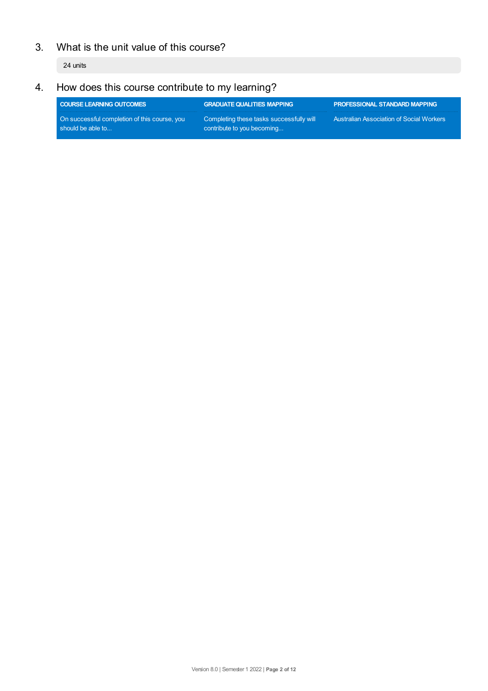# 3. What is the unit value of this course?

24 units

# 4. How does this course contribute to my learning?

| <b>COURSE LEARNING OUTCOMES</b>                                   | <b>GRADUATE QUALITIES MAPPING</b>                                      | <b>PROFESSIONAL STANDARD MAPPING</b>            |
|-------------------------------------------------------------------|------------------------------------------------------------------------|-------------------------------------------------|
| On successful completion of this course, you<br>should be able to | Completing these tasks successfully will<br>contribute to you becoming | <b>Australian Association of Social Workers</b> |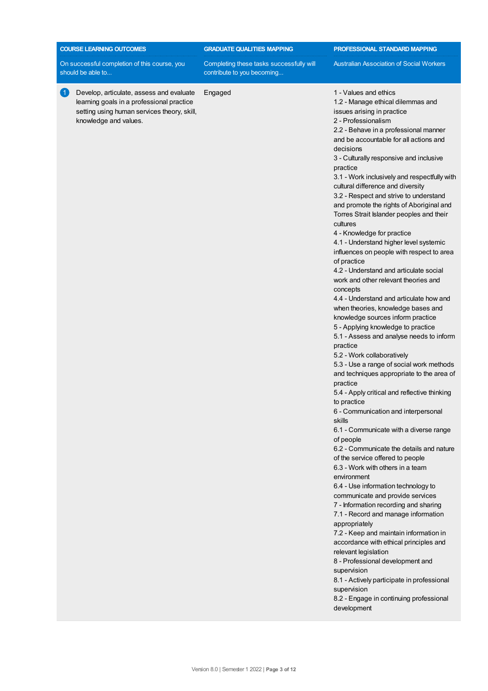| <b>COURSE LEARNING OUTCOMES</b>                                                                                                                                                         | <b>GRADUATE QUALITIES MAPPING</b>                                      | PROFESSIONAL STANDARD MAPPING                                                                                                                                                                                                                                                                                                                                                                                                                                                                                                                                                                                                                                                                                                                                                                                                                                                                                                                                                                                                                                                                                                                                                                                                                                                                                                                                                                                                                                                                                                                                                                                                                                                                                                                                                                                                                                                  |  |
|-----------------------------------------------------------------------------------------------------------------------------------------------------------------------------------------|------------------------------------------------------------------------|--------------------------------------------------------------------------------------------------------------------------------------------------------------------------------------------------------------------------------------------------------------------------------------------------------------------------------------------------------------------------------------------------------------------------------------------------------------------------------------------------------------------------------------------------------------------------------------------------------------------------------------------------------------------------------------------------------------------------------------------------------------------------------------------------------------------------------------------------------------------------------------------------------------------------------------------------------------------------------------------------------------------------------------------------------------------------------------------------------------------------------------------------------------------------------------------------------------------------------------------------------------------------------------------------------------------------------------------------------------------------------------------------------------------------------------------------------------------------------------------------------------------------------------------------------------------------------------------------------------------------------------------------------------------------------------------------------------------------------------------------------------------------------------------------------------------------------------------------------------------------------|--|
| On successful completion of this course, you<br>should be able to                                                                                                                       | Completing these tasks successfully will<br>contribute to you becoming | <b>Australian Association of Social Workers</b>                                                                                                                                                                                                                                                                                                                                                                                                                                                                                                                                                                                                                                                                                                                                                                                                                                                                                                                                                                                                                                                                                                                                                                                                                                                                                                                                                                                                                                                                                                                                                                                                                                                                                                                                                                                                                                |  |
| $\left  \cdot \right $<br>Develop, articulate, assess and evaluate<br>learning goals in a professional practice<br>setting using human services theory, skill,<br>knowledge and values. | Engaged                                                                | 1 - Values and ethics<br>1.2 - Manage ethical dilemmas and<br>issues arising in practice<br>2 - Professionalism<br>2.2 - Behave in a professional manner<br>and be accountable for all actions and<br>decisions<br>3 - Culturally responsive and inclusive<br>practice<br>3.1 - Work inclusively and respectfully with<br>cultural difference and diversity<br>3.2 - Respect and strive to understand<br>and promote the rights of Aboriginal and<br>Torres Strait Islander peoples and their<br>cultures<br>4 - Knowledge for practice<br>4.1 - Understand higher level systemic<br>influences on people with respect to area<br>of practice<br>4.2 - Understand and articulate social<br>work and other relevant theories and<br>concepts<br>4.4 - Understand and articulate how and<br>when theories, knowledge bases and<br>knowledge sources inform practice<br>5 - Applying knowledge to practice<br>5.1 - Assess and analyse needs to inform<br>practice<br>5.2 - Work collaboratively<br>5.3 - Use a range of social work methods<br>and techniques appropriate to the area of<br>practice<br>5.4 - Apply critical and reflective thinking<br>to practice<br>6 - Communication and interpersonal<br>skills<br>6.1 - Communicate with a diverse range<br>of people<br>6.2 - Communicate the details and nature<br>of the service offered to people<br>6.3 - Work with others in a team<br>environment<br>6.4 - Use information technology to<br>communicate and provide services<br>7 - Information recording and sharing<br>7.1 - Record and manage information<br>appropriately<br>7.2 - Keep and maintain information in<br>accordance with ethical principles and<br>relevant legislation<br>8 - Professional development and<br>supervision<br>8.1 - Actively participate in professional<br>supervision<br>8.2 - Engage in continuing professional<br>development |  |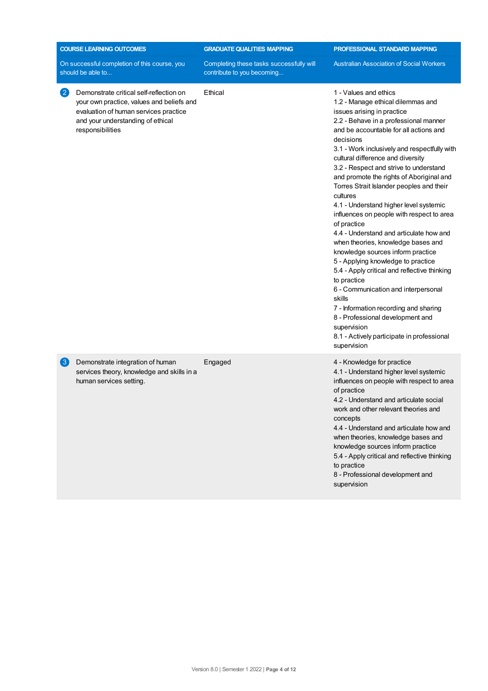| <b>COURSE LEARNING OUTCOMES</b> |                                                                                                                                                                                        | <b>GRADUATE QUALITIES MAPPING</b>                                      | PROFESSIONAL STANDARD MAPPING                                                                                                                                                                                                                                                                                                                                                                                                                                                                                                                                                                                                                                                                                                                                                                                                                                                                                                                                          |  |
|---------------------------------|----------------------------------------------------------------------------------------------------------------------------------------------------------------------------------------|------------------------------------------------------------------------|------------------------------------------------------------------------------------------------------------------------------------------------------------------------------------------------------------------------------------------------------------------------------------------------------------------------------------------------------------------------------------------------------------------------------------------------------------------------------------------------------------------------------------------------------------------------------------------------------------------------------------------------------------------------------------------------------------------------------------------------------------------------------------------------------------------------------------------------------------------------------------------------------------------------------------------------------------------------|--|
|                                 | On successful completion of this course, you<br>should be able to                                                                                                                      | Completing these tasks successfully will<br>contribute to you becoming | <b>Australian Association of Social Workers</b>                                                                                                                                                                                                                                                                                                                                                                                                                                                                                                                                                                                                                                                                                                                                                                                                                                                                                                                        |  |
| (2)                             | Demonstrate critical self-reflection on<br>your own practice, values and beliefs and<br>evaluation of human services practice<br>and your understanding of ethical<br>responsibilities | Ethical                                                                | 1 - Values and ethics<br>1.2 - Manage ethical dilemmas and<br>issues arising in practice<br>2.2 - Behave in a professional manner<br>and be accountable for all actions and<br>decisions<br>3.1 - Work inclusively and respectfully with<br>cultural difference and diversity<br>3.2 - Respect and strive to understand<br>and promote the rights of Aboriginal and<br>Torres Strait Islander peoples and their<br>cultures<br>4.1 - Understand higher level systemic<br>influences on people with respect to area<br>of practice<br>4.4 - Understand and articulate how and<br>when theories, knowledge bases and<br>knowledge sources inform practice<br>5 - Applying knowledge to practice<br>5.4 - Apply critical and reflective thinking<br>to practice<br>6 - Communication and interpersonal<br>skills<br>7 - Information recording and sharing<br>8 - Professional development and<br>supervision<br>8.1 - Actively participate in professional<br>supervision |  |
| $\left( 3\right)$               | Demonstrate integration of human<br>services theory, knowledge and skills in a<br>human services setting.                                                                              | Engaged                                                                | 4 - Knowledge for practice<br>4.1 - Understand higher level systemic<br>influences on people with respect to area<br>of practice<br>4.2 - Understand and articulate social<br>work and other relevant theories and<br>concepts<br>4.4 - Understand and articulate how and<br>when theories, knowledge bases and<br>knowledge sources inform practice<br>5.4 - Apply critical and reflective thinking<br>to practice<br>8 - Professional development and<br>supervision                                                                                                                                                                                                                                                                                                                                                                                                                                                                                                 |  |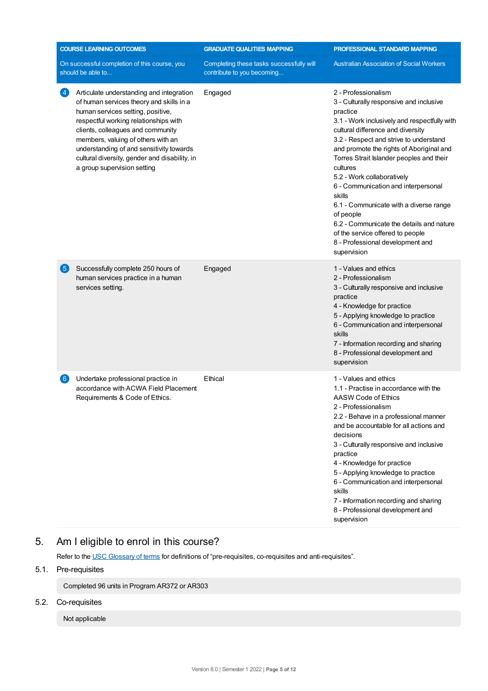| <b>COURSE LEARNING OUTCOMES</b> |                                                                                                                                                                                                                                                                                                                                                                           | <b>GRADUATE QUALITIES MAPPING</b>                                      | PROFESSIONAL STANDARD MAPPING                                                                                                                                                                                                                                                                                                                                                                                                                                                                                                                                                          |  |
|---------------------------------|---------------------------------------------------------------------------------------------------------------------------------------------------------------------------------------------------------------------------------------------------------------------------------------------------------------------------------------------------------------------------|------------------------------------------------------------------------|----------------------------------------------------------------------------------------------------------------------------------------------------------------------------------------------------------------------------------------------------------------------------------------------------------------------------------------------------------------------------------------------------------------------------------------------------------------------------------------------------------------------------------------------------------------------------------------|--|
|                                 | On successful completion of this course, you<br>should be able to                                                                                                                                                                                                                                                                                                         | Completing these tasks successfully will<br>contribute to you becoming | <b>Australian Association of Social Workers</b>                                                                                                                                                                                                                                                                                                                                                                                                                                                                                                                                        |  |
| 4                               | Articulate understanding and integration<br>of human services theory and skills in a<br>human services setting, positive,<br>respectful working relationships with<br>clients, colleagues and community<br>members, valuing of others with an<br>understanding of and sensitivity towards<br>cultural diversity, gender and disability, in<br>a group supervision setting | Engaged                                                                | 2 - Professionalism<br>3 - Culturally responsive and inclusive<br>practice<br>3.1 - Work inclusively and respectfully with<br>cultural difference and diversity<br>3.2 - Respect and strive to understand<br>and promote the rights of Aboriginal and<br>Torres Strait Islander peoples and their<br>cultures<br>5.2 - Work collaboratively<br>6 - Communication and interpersonal<br>skills<br>6.1 - Communicate with a diverse range<br>of people<br>6.2 - Communicate the details and nature<br>of the service offered to people<br>8 - Professional development and<br>supervision |  |
| 6                               | Successfully complete 250 hours of<br>human services practice in a human<br>services setting.                                                                                                                                                                                                                                                                             | Engaged                                                                | 1 - Values and ethics<br>2 - Professionalism<br>3 - Culturally responsive and inclusive<br>practice<br>4 - Knowledge for practice<br>5 - Applying knowledge to practice<br>6 - Communication and interpersonal<br>skills<br>7 - Information recording and sharing<br>8 - Professional development and<br>supervision                                                                                                                                                                                                                                                                   |  |
| (6)                             | Undertake professional practice in<br>accordance with ACWA Field Placement<br>Requirements & Code of Ethics.                                                                                                                                                                                                                                                              | Ethical                                                                | 1 - Values and ethics<br>1.1 - Practise in accordance with the<br>AASW Code of Ethics<br>2 - Professionalism<br>2.2 - Behave in a professional manner<br>and be accountable for all actions and<br>decisions<br>3 - Culturally responsive and inclusive<br>practice<br>4 - Knowledge for practice<br>5 - Applying knowledge to practice<br>6 - Communication and interpersonal<br>skills<br>7 - Information recording and sharing<br>8 - Professional development and<br>supervision                                                                                                   |  |

## 5. Am Ieligible to enrol in this course?

Refer to the USC [Glossary](https://www.usc.edu.au/about/policies-and-procedures/glossary-of-terms-for-policy-and-procedures) of terms for definitions of "pre-requisites, co-requisites and anti-requisites".

## 5.1. Pre-requisites

Completed 96 units in Program AR372 or AR303

## 5.2. Co-requisites

Not applicable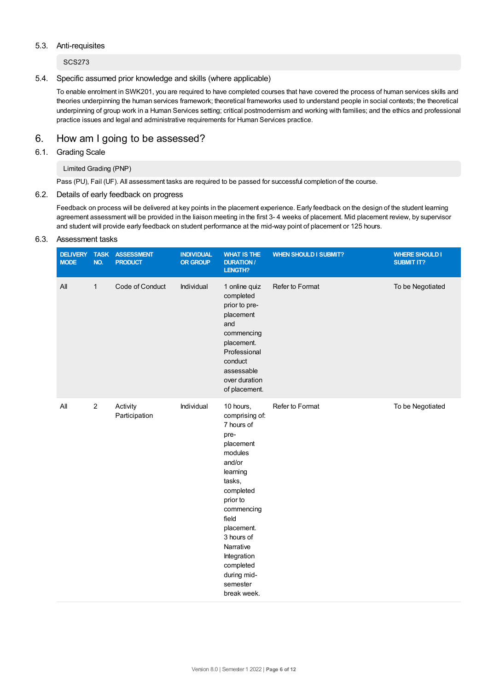#### 5.3. Anti-requisites

SCS273

#### 5.4. Specific assumed prior knowledge and skills (where applicable)

To enable enrolment in SWK201, you are required to have completed courses that have covered the process of human services skills and theories underpinning the human services framework; theoretical frameworks used to understand people in social contexts; the theoretical underpinning of group work in a Human Services setting; critical postmodernism and working with families; and the ethics and professional practice issues and legal and administrative requirements for Human Services practice.

## 6. How am Igoing to be assessed?

## 6.1. Grading Scale

## Limited Grading (PNP)

Pass (PU), Fail (UF). All assessment tasks are required to be passed for successful completion of the course.

## 6.2. Details of early feedback on progress

Feedback on process will be delivered at key points in the placement experience. Early feedback on the design of the student learning agreement assessment will be provided in the liaison meeting in the first 3- 4 weeks of placement. Mid placement review, by supervisor and student will provide early feedback on student performance at the mid-way point of placement or 125 hours.

#### 6.3. Assessment tasks

| <b>DELIVERY</b><br><b>MODE</b> | <b>TASK</b><br>NO. | <b>ASSESSMENT</b><br><b>PRODUCT</b> | <b>INDIVIDUAL</b><br>OR GROUP | <b>WHAT IS THE</b><br><b>DURATION /</b><br><b>LENGTH?</b>                                                                                                                                                                                                                | <b>WHEN SHOULD I SUBMIT?</b> | <b>WHERE SHOULD I</b><br><b>SUBMIT IT?</b> |
|--------------------------------|--------------------|-------------------------------------|-------------------------------|--------------------------------------------------------------------------------------------------------------------------------------------------------------------------------------------------------------------------------------------------------------------------|------------------------------|--------------------------------------------|
| All                            | $\mathbf{1}$       | Code of Conduct                     | Individual                    | 1 online quiz<br>completed<br>prior to pre-<br>placement<br>and<br>commencing<br>placement.<br>Professional<br>conduct<br>assessable<br>over duration<br>of placement.                                                                                                   | Refer to Format              | To be Negotiated                           |
| $\mathsf{All}$                 | $\boldsymbol{2}$   | Activity<br>Participation           | Individual                    | 10 hours,<br>comprising of:<br>7 hours of<br>pre-<br>placement<br>modules<br>and/or<br>learning<br>tasks,<br>completed<br>prior to<br>commencing<br>field<br>placement.<br>3 hours of<br>Narrative<br>Integration<br>completed<br>during mid-<br>semester<br>break week. | Refer to Format              | To be Negotiated                           |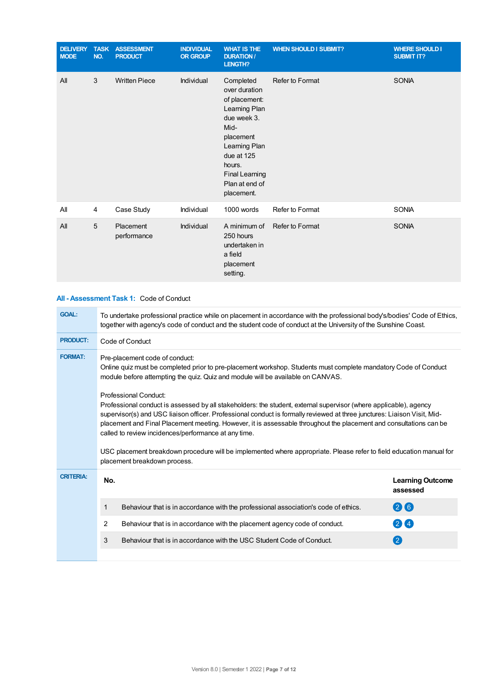| <b>DELIVERY</b><br><b>MODE</b> | <b>TASK</b><br>NO. | <b>ASSESSMENT</b><br><b>PRODUCT</b> | <b>INDIVIDUAL</b><br><b>OR GROUP</b> | <b>WHAT IS THE</b><br><b>DURATION /</b><br>LENGTH?                                                                                                                                                 | <b>WHEN SHOULD I SUBMIT?</b> | <b>WHERE SHOULD I</b><br><b>SUBMIT IT?</b> |
|--------------------------------|--------------------|-------------------------------------|--------------------------------------|----------------------------------------------------------------------------------------------------------------------------------------------------------------------------------------------------|------------------------------|--------------------------------------------|
| All                            | 3                  | <b>Written Piece</b>                | Individual                           | Completed<br>over duration<br>of placement:<br>Learning Plan<br>due week 3.<br>Mid-<br>placement<br>Learning Plan<br>due at 125<br>hours.<br><b>Final Learning</b><br>Plan at end of<br>placement. | Refer to Format              | <b>SONIA</b>                               |
| All                            | $\overline{4}$     | Case Study                          | Individual                           | 1000 words                                                                                                                                                                                         | Refer to Format              | <b>SONIA</b>                               |
| All                            | 5                  | Placement<br>performance            | Individual                           | A minimum of<br>250 hours<br>undertaken in<br>a field<br>placement<br>setting.                                                                                                                     | Refer to Format              | <b>SONIA</b>                               |

## **All - Assessment Task 1:** Code of Conduct

| <b>GOAL:</b>     | To undertake professional practice while on placement in accordance with the professional body's/bodies' Code of Ethics,<br>together with agency's code of conduct and the student code of conduct at the University of the Sunshine Coast.                                                                                                                                                                                                                                                |                                                                                     |                                     |  |  |  |
|------------------|--------------------------------------------------------------------------------------------------------------------------------------------------------------------------------------------------------------------------------------------------------------------------------------------------------------------------------------------------------------------------------------------------------------------------------------------------------------------------------------------|-------------------------------------------------------------------------------------|-------------------------------------|--|--|--|
| <b>PRODUCT:</b>  | Code of Conduct                                                                                                                                                                                                                                                                                                                                                                                                                                                                            |                                                                                     |                                     |  |  |  |
| <b>FORMAT:</b>   | Pre-placement code of conduct:<br>Online quiz must be completed prior to pre-placement workshop. Students must complete mandatory Code of Conduct<br>module before attempting the quiz. Quiz and module will be available on CANVAS.<br>Professional Conduct:                                                                                                                                                                                                                              |                                                                                     |                                     |  |  |  |
|                  | Professional conduct is assessed by all stakeholders: the student, external supervisor (where applicable), agency<br>supervisor(s) and USC liaison officer. Professional conduct is formally reviewed at three junctures: Liaison Visit, Mid-<br>placement and Final Placement meeting. However, it is assessable throughout the placement and consultations can be<br>USC placement breakdown procedure will be implemented where appropriate. Please refer to field education manual for |                                                                                     |                                     |  |  |  |
| <b>CRITERIA:</b> | No.                                                                                                                                                                                                                                                                                                                                                                                                                                                                                        |                                                                                     | <b>Learning Outcome</b><br>assessed |  |  |  |
|                  | 1                                                                                                                                                                                                                                                                                                                                                                                                                                                                                          | Behaviour that is in accordance with the professional association's code of ethics. | 26                                  |  |  |  |
|                  | 2                                                                                                                                                                                                                                                                                                                                                                                                                                                                                          | Behaviour that is in accordance with the placement agency code of conduct.          | 24                                  |  |  |  |
|                  | 3                                                                                                                                                                                                                                                                                                                                                                                                                                                                                          | Behaviour that is in accordance with the USC Student Code of Conduct.               | $\left( 2\right)$                   |  |  |  |
|                  |                                                                                                                                                                                                                                                                                                                                                                                                                                                                                            |                                                                                     |                                     |  |  |  |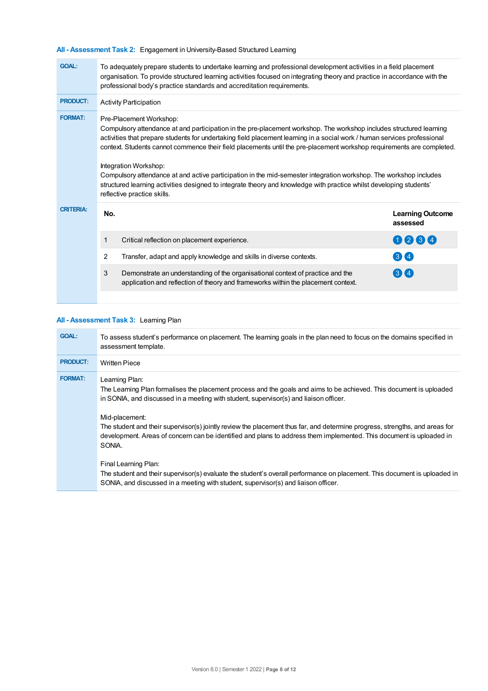## **All - Assessment Task 2:** Engagement in University-Based Structured Learning

| <b>GOAL:</b>     | To adequately prepare students to undertake learning and professional development activities in a field placement<br>organisation. To provide structured learning activities focused on integrating theory and practice in accordance with the<br>professional body's practice standards and accreditation requirements.                                                                                                                                                                                                                                                                                                                                                                                |                                                                                                                                                                     |                                     |  |  |  |
|------------------|---------------------------------------------------------------------------------------------------------------------------------------------------------------------------------------------------------------------------------------------------------------------------------------------------------------------------------------------------------------------------------------------------------------------------------------------------------------------------------------------------------------------------------------------------------------------------------------------------------------------------------------------------------------------------------------------------------|---------------------------------------------------------------------------------------------------------------------------------------------------------------------|-------------------------------------|--|--|--|
| <b>PRODUCT:</b>  | <b>Activity Participation</b>                                                                                                                                                                                                                                                                                                                                                                                                                                                                                                                                                                                                                                                                           |                                                                                                                                                                     |                                     |  |  |  |
| <b>FORMAT:</b>   | Pre-Placement Workshop:<br>Compulsory attendance at and participation in the pre-placement workshop. The workshop includes structured learning<br>activities that prepare students for undertaking field placement learning in a social work / human services professional<br>context. Students cannot commence their field placements until the pre-placement workshop requirements are completed.<br>Integration Workshop:<br>Compulsory attendance at and active participation in the mid-semester integration workshop. The workshop includes<br>structured learning activities designed to integrate theory and knowledge with practice whilst developing students'<br>reflective practice skills. |                                                                                                                                                                     |                                     |  |  |  |
| <b>CRITERIA:</b> | No.                                                                                                                                                                                                                                                                                                                                                                                                                                                                                                                                                                                                                                                                                                     |                                                                                                                                                                     | <b>Learning Outcome</b><br>assessed |  |  |  |
|                  | 1                                                                                                                                                                                                                                                                                                                                                                                                                                                                                                                                                                                                                                                                                                       | Critical reflection on placement experience.                                                                                                                        | 0000                                |  |  |  |
|                  | $\overline{2}$                                                                                                                                                                                                                                                                                                                                                                                                                                                                                                                                                                                                                                                                                          | Transfer, adapt and apply knowledge and skills in diverse contexts.                                                                                                 | 3 <sup>4</sup>                      |  |  |  |
|                  | 3                                                                                                                                                                                                                                                                                                                                                                                                                                                                                                                                                                                                                                                                                                       | Demonstrate an understanding of the organisational context of practice and the<br>application and reflection of theory and frameworks within the placement context. | $(3)$ (4)                           |  |  |  |

## **All - Assessment Task 3:** Learning Plan

| <b>GOAL:</b>    | To assess student's performance on placement. The learning goals in the plan need to focus on the domains specified in<br>assessment template.                                                                                                                                                                                                                                                                                                                                                                   |
|-----------------|------------------------------------------------------------------------------------------------------------------------------------------------------------------------------------------------------------------------------------------------------------------------------------------------------------------------------------------------------------------------------------------------------------------------------------------------------------------------------------------------------------------|
| <b>PRODUCT:</b> | <b>Written Piece</b>                                                                                                                                                                                                                                                                                                                                                                                                                                                                                             |
| <b>FORMAT:</b>  | Learning Plan:<br>The Learning Plan formalises the placement process and the goals and aims to be achieved. This document is uploaded<br>in SONIA, and discussed in a meeting with student, supervisor(s) and liaison officer.<br>Mid-placement:<br>The student and their supervisor(s) jointly review the placement thus far, and determine progress, strengths, and areas for<br>development. Areas of concern can be identified and plans to address them implemented. This document is uploaded in<br>SONIA. |
|                 | Final Learning Plan:<br>The student and their supervisor(s) evaluate the student's overall performance on placement. This document is uploaded in<br>SONIA, and discussed in a meeting with student, supervisor(s) and liaison officer.                                                                                                                                                                                                                                                                          |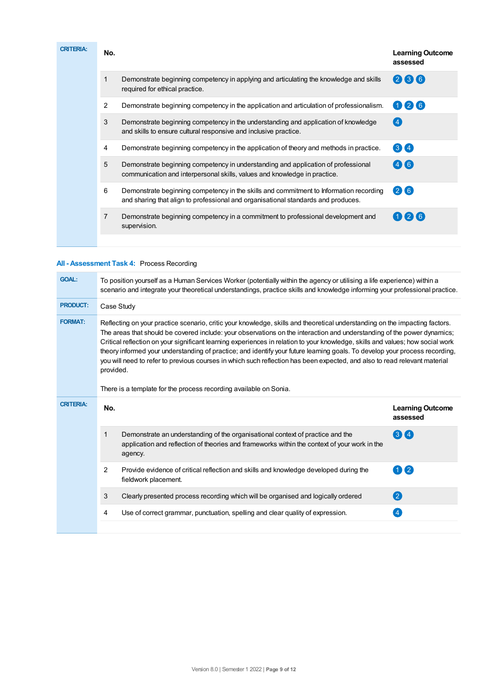| <b>CRITERIA:</b> | No.            |                                                                                                                                                                             | <b>Learning Outcome</b><br>assessed |
|------------------|----------------|-----------------------------------------------------------------------------------------------------------------------------------------------------------------------------|-------------------------------------|
|                  | 1              | Demonstrate beginning competency in applying and articulating the knowledge and skills<br>required for ethical practice.                                                    | 236                                 |
|                  | 2              | Demonstrate beginning competency in the application and articulation of professionalism.                                                                                    | $\mathbf{0}$ 26                     |
|                  | 3              | Demonstrate beginning competency in the understanding and application of knowledge<br>and skills to ensure cultural responsive and inclusive practice.                      | 4                                   |
|                  | 4              | Demonstrate beginning competency in the application of theory and methods in practice.                                                                                      | 34                                  |
|                  | 5              | Demonstrate beginning competency in understanding and application of professional<br>communication and interpersonal skills, values and knowledge in practice.              | (4)(6)                              |
|                  | 6              | Demonstrate beginning competency in the skills and commitment to Information recording<br>and sharing that align to professional and organisational standards and produces. | 266                                 |
|                  | $\overline{7}$ | Demonstrate beginning competency in a commitment to professional development and<br>supervision.                                                                            | 126                                 |
|                  |                |                                                                                                                                                                             |                                     |

## **All - Assessment Task 4:** Process Recording

| <b>GOAL:</b>     | To position yourself as a Human Services Worker (potentially within the agency or utilising a life experience) within a<br>scenario and integrate your theoretical understandings, practice skills and knowledge informing your professional practice.                                                                                                                                                                                                                                                                                                                                                                                                            |                                                                                                                                                                                           |                                     |  |
|------------------|-------------------------------------------------------------------------------------------------------------------------------------------------------------------------------------------------------------------------------------------------------------------------------------------------------------------------------------------------------------------------------------------------------------------------------------------------------------------------------------------------------------------------------------------------------------------------------------------------------------------------------------------------------------------|-------------------------------------------------------------------------------------------------------------------------------------------------------------------------------------------|-------------------------------------|--|
| <b>PRODUCT:</b>  | Case Study                                                                                                                                                                                                                                                                                                                                                                                                                                                                                                                                                                                                                                                        |                                                                                                                                                                                           |                                     |  |
| <b>FORMAT:</b>   | Reflecting on your practice scenario, critic your knowledge, skills and theoretical understanding on the impacting factors.<br>The areas that should be covered include: your observations on the interaction and understanding of the power dynamics;<br>Critical reflection on your significant learning experiences in relation to your knowledge, skills and values; how social work<br>theory informed your understanding of practice; and identify your future learning goals. To develop your process recording,<br>you will need to refer to previous courses in which such reflection has been expected, and also to read relevant material<br>provided. |                                                                                                                                                                                           |                                     |  |
|                  | There is a template for the process recording available on Sonia.                                                                                                                                                                                                                                                                                                                                                                                                                                                                                                                                                                                                 |                                                                                                                                                                                           |                                     |  |
| <b>CRITERIA:</b> | No.                                                                                                                                                                                                                                                                                                                                                                                                                                                                                                                                                                                                                                                               |                                                                                                                                                                                           | <b>Learning Outcome</b><br>assessed |  |
|                  | 1                                                                                                                                                                                                                                                                                                                                                                                                                                                                                                                                                                                                                                                                 | Demonstrate an understanding of the organisational context of practice and the<br>application and reflection of theories and frameworks within the context of your work in the<br>agency. | 34                                  |  |
|                  | 2                                                                                                                                                                                                                                                                                                                                                                                                                                                                                                                                                                                                                                                                 | Provide evidence of critical reflection and skills and knowledge developed during the<br>fieldwork placement.                                                                             | $\mathbf{1}$ (2)                    |  |
|                  | 3                                                                                                                                                                                                                                                                                                                                                                                                                                                                                                                                                                                                                                                                 | Clearly presented process recording which will be organised and logically ordered                                                                                                         | 2                                   |  |
|                  | 4                                                                                                                                                                                                                                                                                                                                                                                                                                                                                                                                                                                                                                                                 | Use of correct grammar, punctuation, spelling and clear quality of expression.                                                                                                            | $\overline{4}$                      |  |
|                  |                                                                                                                                                                                                                                                                                                                                                                                                                                                                                                                                                                                                                                                                   |                                                                                                                                                                                           |                                     |  |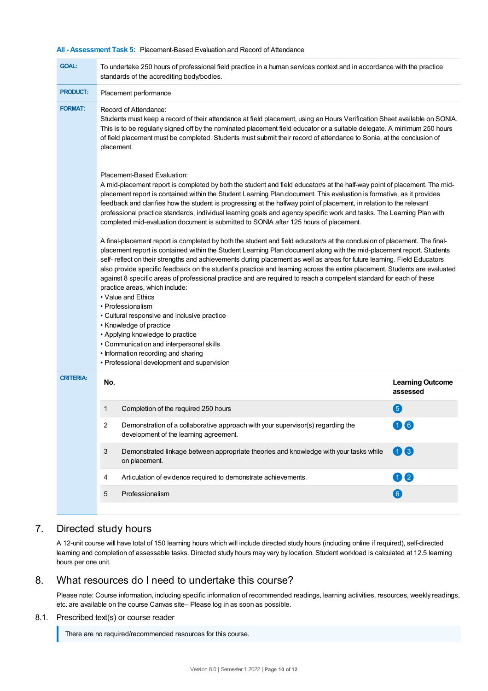#### **All - Assessment Task 5:** Placement-Based Evaluation and Record of Attendance

| <b>GOAL:</b>     | To undertake 250 hours of professional field practice in a human services context and in accordance with the practice<br>standards of the accrediting body/bodies.                                                                                                                                                                                                                                                                                                                                                                                                                                                                                                                                                                                                                                                                                                                                                                                             |                                     |  |  |
|------------------|----------------------------------------------------------------------------------------------------------------------------------------------------------------------------------------------------------------------------------------------------------------------------------------------------------------------------------------------------------------------------------------------------------------------------------------------------------------------------------------------------------------------------------------------------------------------------------------------------------------------------------------------------------------------------------------------------------------------------------------------------------------------------------------------------------------------------------------------------------------------------------------------------------------------------------------------------------------|-------------------------------------|--|--|
| <b>PRODUCT:</b>  | Placement performance                                                                                                                                                                                                                                                                                                                                                                                                                                                                                                                                                                                                                                                                                                                                                                                                                                                                                                                                          |                                     |  |  |
| <b>FORMAT:</b>   | Record of Attendance:<br>Students must keep a record of their attendance at field placement, using an Hours Verification Sheet available on SONIA.<br>This is to be regularly signed off by the nominated placement field educator or a suitable delegate. A minimum 250 hours<br>of field placement must be completed. Students must submit their record of attendance to Sonia, at the conclusion of<br>placement.                                                                                                                                                                                                                                                                                                                                                                                                                                                                                                                                           |                                     |  |  |
|                  | Placement-Based Evaluation:<br>A mid-placement report is completed by both the student and field educator/s at the half-way point of placement. The mid-<br>placement report is contained within the Student Learning Plan document. This evaluation is formative, as it provides<br>feedback and clarifies how the student is progressing at the halfway point of placement, in relation to the relevant<br>professional practice standards, individual learning goals and agency specific work and tasks. The Learning Plan with<br>completed mid-evaluation document is submitted to SONIA after 125 hours of placement.                                                                                                                                                                                                                                                                                                                                    |                                     |  |  |
|                  | A final-placement report is completed by both the student and field educator/s at the conclusion of placement. The final-<br>placement report is contained within the Student Learning Plan document along with the mid-placement report. Students<br>self- reflect on their strengths and achievements during placement as well as areas for future learning. Field Educators<br>also provide specific feedback on the student's practice and learning across the entire placement. Students are evaluated<br>against 8 specific areas of professional practice and are required to reach a competent standard for each of these<br>practice areas, which include:<br>• Value and Ethics<br>• Professionalism<br>• Cultural responsive and inclusive practice<br>• Knowledge of practice<br>• Applying knowledge to practice<br>• Communication and interpersonal skills<br>• Information recording and sharing<br>• Professional development and supervision |                                     |  |  |
| <b>CRITERIA:</b> | No.                                                                                                                                                                                                                                                                                                                                                                                                                                                                                                                                                                                                                                                                                                                                                                                                                                                                                                                                                            | <b>Learning Outcome</b><br>assessed |  |  |
|                  | Completion of the required 250 hours<br>1                                                                                                                                                                                                                                                                                                                                                                                                                                                                                                                                                                                                                                                                                                                                                                                                                                                                                                                      | 6                                   |  |  |
|                  | 2<br>Demonstration of a collaborative approach with your supervisor(s) regarding the<br>development of the learning agreement.                                                                                                                                                                                                                                                                                                                                                                                                                                                                                                                                                                                                                                                                                                                                                                                                                                 | 10 G                                |  |  |
|                  | 3<br>Demonstrated linkage between appropriate theories and knowledge with your tasks while<br>on placement.                                                                                                                                                                                                                                                                                                                                                                                                                                                                                                                                                                                                                                                                                                                                                                                                                                                    | 03                                  |  |  |
|                  | Articulation of evidence required to demonstrate achievements.<br>4                                                                                                                                                                                                                                                                                                                                                                                                                                                                                                                                                                                                                                                                                                                                                                                                                                                                                            | 00                                  |  |  |
|                  | Professionalism<br>5                                                                                                                                                                                                                                                                                                                                                                                                                                                                                                                                                                                                                                                                                                                                                                                                                                                                                                                                           | 6                                   |  |  |
|                  |                                                                                                                                                                                                                                                                                                                                                                                                                                                                                                                                                                                                                                                                                                                                                                                                                                                                                                                                                                |                                     |  |  |

## 7. Directed study hours

A 12-unit course will have total of 150 learning hours which will include directed study hours (including online if required), self-directed learning and completion of assessable tasks. Directed study hours may vary by location. Student workload is calculated at 12.5 learning hours per one unit.

## 8. What resources do I need to undertake this course?

Please note: Course information, including specific information of recommended readings, learning activities, resources, weekly readings, etc. are available on the course Canvas site– Please log in as soon as possible.

8.1. Prescribed text(s) or course reader

There are no required/recommended resources for this course.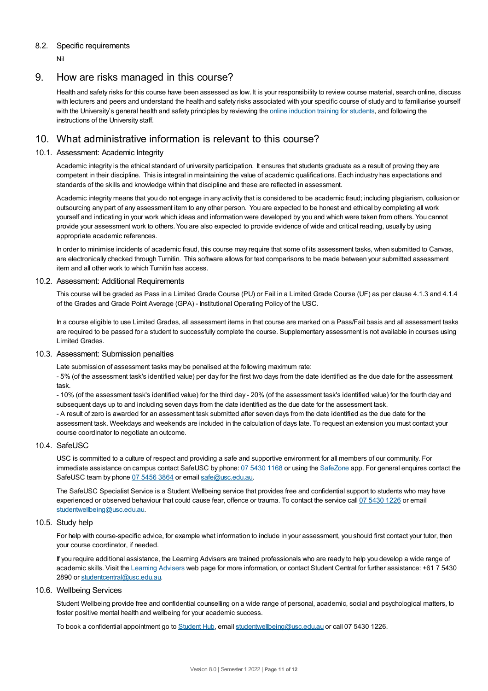## 8.2. Specific requirements

Nil

## 9. How are risks managed in this course?

Health and safety risks for this course have been assessed as low. It is your responsibility to review course material, search online, discuss with lecturers and peers and understand the health and safety risks associated with your specific course of study and to familiarise yourself with the University's general health and safety principles by reviewing the online [induction](https://online.usc.edu.au/webapps/blackboard/content/listContentEditable.jsp?content_id=_632657_1&course_id=_14432_1) training for students, and following the instructions of the University staff.

## 10. What administrative information is relevant to this course?

## 10.1. Assessment: Academic Integrity

Academic integrity is the ethical standard of university participation. It ensures that students graduate as a result of proving they are competent in their discipline. This is integral in maintaining the value of academic qualifications. Each industry has expectations and standards of the skills and knowledge within that discipline and these are reflected in assessment.

Academic integrity means that you do not engage in any activity that is considered to be academic fraud; including plagiarism, collusion or outsourcing any part of any assessment item to any other person. You are expected to be honest and ethical by completing all work yourself and indicating in your work which ideas and information were developed by you and which were taken from others. You cannot provide your assessment work to others.You are also expected to provide evidence of wide and critical reading, usually by using appropriate academic references.

In order to minimise incidents of academic fraud, this course may require that some of its assessment tasks, when submitted to Canvas, are electronically checked through Turnitin. This software allows for text comparisons to be made between your submitted assessment item and all other work to which Turnitin has access.

#### 10.2. Assessment: Additional Requirements

This course will be graded as Pass in a Limited Grade Course (PU) or Fail in a Limited Grade Course (UF) as per clause 4.1.3 and 4.1.4 of the Grades and Grade Point Average (GPA) - Institutional Operating Policy of the USC.

In a course eligible to use Limited Grades, all assessment items in that course are marked on a Pass/Fail basis and all assessment tasks are required to be passed for a student to successfully complete the course. Supplementary assessment is not available in courses using Limited Grades.

#### 10.3. Assessment: Submission penalties

Late submission of assessment tasks may be penalised at the following maximum rate:

- 5% (of the assessment task's identified value) per day for the first two days from the date identified as the due date for the assessment task.

- 10% (of the assessment task's identified value) for the third day - 20% (of the assessment task's identified value) for the fourth day and subsequent days up to and including seven days from the date identified as the due date for the assessment task.

- A result of zero is awarded for an assessment task submitted after seven days from the date identified as the due date for the assessment task. Weekdays and weekends are included in the calculation of days late. To request an extension you must contact your course coordinator to negotiate an outcome.

## 10.4. SafeUSC

USC is committed to a culture of respect and providing a safe and supportive environment for all members of our community. For immediate assistance on campus contact SafeUSC by phone: 07 [5430](tel:07%205430%201168) 1168 or using the [SafeZone](https://www.safezoneapp.com) app. For general enquires contact the SafeUSC team by phone 07 [5456](tel:07%205456%203864) 3864 or email [safe@usc.edu.au](mailto:safe@usc.edu.au).

The SafeUSC Specialist Service is a Student Wellbeing service that provides free and confidential support to students who may have experienced or observed behaviour that could cause fear, offence or trauma. To contact the service call 07 [5430](tel:07%205430%201226) 1226 or email [studentwellbeing@usc.edu.au](mailto:studentwellbeing@usc.edu.au).

#### 10.5. Study help

For help with course-specific advice, for example what information to include in your assessment, you should first contact your tutor, then your course coordinator, if needed.

If you require additional assistance, the Learning Advisers are trained professionals who are ready to help you develop a wide range of academic skills. Visit the Learning [Advisers](https://www.usc.edu.au/current-students/student-support/academic-and-study-support/learning-advisers) web page for more information, or contact Student Central for further assistance: +61 7 5430 2890 or [studentcentral@usc.edu.au](mailto:studentcentral@usc.edu.au).

#### 10.6. Wellbeing Services

Student Wellbeing provide free and confidential counselling on a wide range of personal, academic, social and psychological matters, to foster positive mental health and wellbeing for your academic success.

To book a confidential appointment go to [Student](https://studenthub.usc.edu.au/) Hub, email [studentwellbeing@usc.edu.au](mailto:studentwellbeing@usc.edu.au) or call 07 5430 1226.